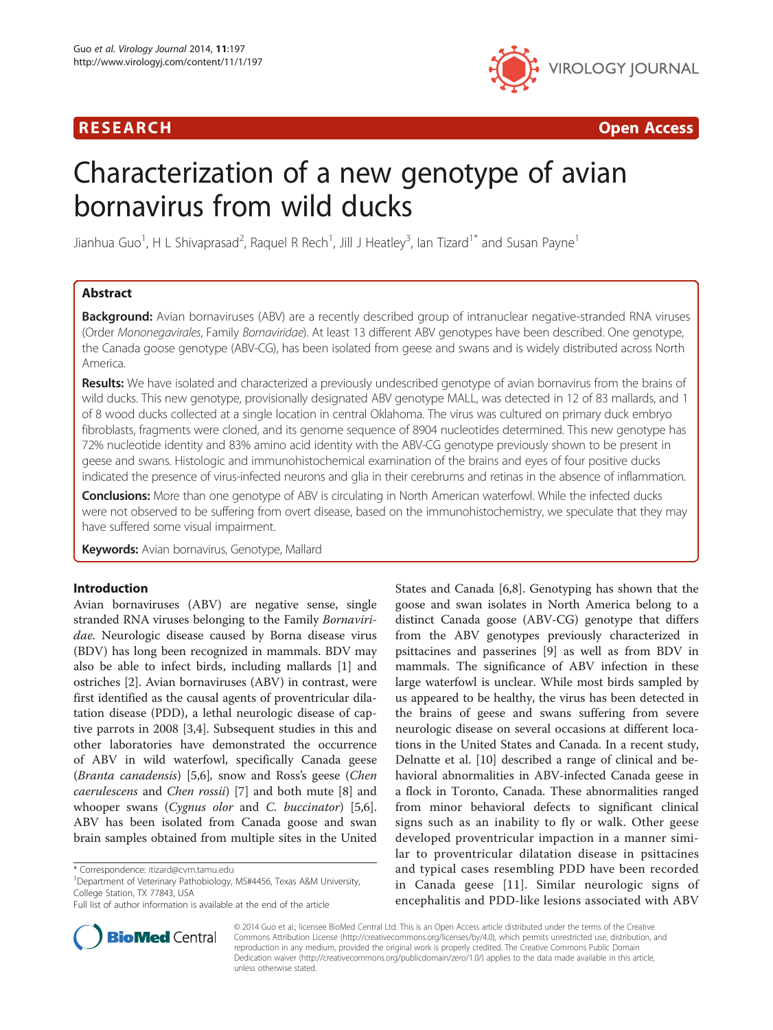## R E S EAR CH Open Access



# Characterization of a new genotype of avian bornavirus from wild ducks

Jianhua Guo<sup>1</sup>, H L Shivaprasad<sup>2</sup>, Raquel R Rech<sup>1</sup>, Jill J Heatley<sup>3</sup>, Ian Tizard<sup>1\*</sup> and Susan Payne<sup>1</sup>

## Abstract

Background: Avian bornaviruses (ABV) are a recently described group of intranuclear negative-stranded RNA viruses (Order Mononegavirales, Family Bornaviridae). At least 13 different ABV genotypes have been described. One genotype, the Canada goose genotype (ABV-CG), has been isolated from geese and swans and is widely distributed across North America.

Results: We have isolated and characterized a previously undescribed genotype of avian bornavirus from the brains of wild ducks. This new genotype, provisionally designated ABV genotype MALL, was detected in 12 of 83 mallards, and 1 of 8 wood ducks collected at a single location in central Oklahoma. The virus was cultured on primary duck embryo fibroblasts, fragments were cloned, and its genome sequence of 8904 nucleotides determined. This new genotype has 72% nucleotide identity and 83% amino acid identity with the ABV-CG genotype previously shown to be present in geese and swans. Histologic and immunohistochemical examination of the brains and eyes of four positive ducks indicated the presence of virus-infected neurons and glia in their cerebrums and retinas in the absence of inflammation.

Conclusions: More than one genotype of ABV is circulating in North American waterfowl. While the infected ducks were not observed to be suffering from overt disease, based on the immunohistochemistry, we speculate that they may have suffered some visual impairment.

Keywords: Avian bornavirus, Genotype, Mallard

## Introduction

Avian bornaviruses (ABV) are negative sense, single stranded RNA viruses belonging to the Family Bornaviridae. Neurologic disease caused by Borna disease virus (BDV) has long been recognized in mammals. BDV may also be able to infect birds, including mallards [\[1\]](#page-6-0) and ostriches [[2\]](#page-6-0). Avian bornaviruses (ABV) in contrast, were first identified as the causal agents of proventricular dilatation disease (PDD), a lethal neurologic disease of captive parrots in 2008 [[3,4\]](#page-6-0). Subsequent studies in this and other laboratories have demonstrated the occurrence of ABV in wild waterfowl, specifically Canada geese (Branta canadensis) [[5,6\]](#page-6-0), snow and Ross's geese (Chen caerulescens and Chen rossii) [[7\]](#page-6-0) and both mute [[8\]](#page-6-0) and whooper swans (Cygnus olor and C. buccinator) [\[5,6](#page-6-0)]. ABV has been isolated from Canada goose and swan brain samples obtained from multiple sites in the United



© 2014 Guo et al.; licensee BioMed Central Ltd. This is an Open Access article distributed under the terms of the Creative **BioMed** Central Commons Attribution License [\(http://creativecommons.org/licenses/by/4.0\)](http://creativecommons.org/licenses/by/4.0), which permits unrestricted use, distribution, and reproduction in any medium, provided the original work is properly credited. The Creative Commons Public Domain Dedication waiver [\(http://creativecommons.org/publicdomain/zero/1.0/](http://creativecommons.org/publicdomain/zero/1.0/)) applies to the data made available in this article, unless otherwise stated.

<sup>\*</sup> Correspondence: [itizard@cvm.tamu.edu](mailto:itizard@cvm.tamu.edu) <sup>1</sup>

Department of Veterinary Pathobiology, MS#4456, Texas A&M University, College Station, TX 77843, USA

Full list of author information is available at the end of the article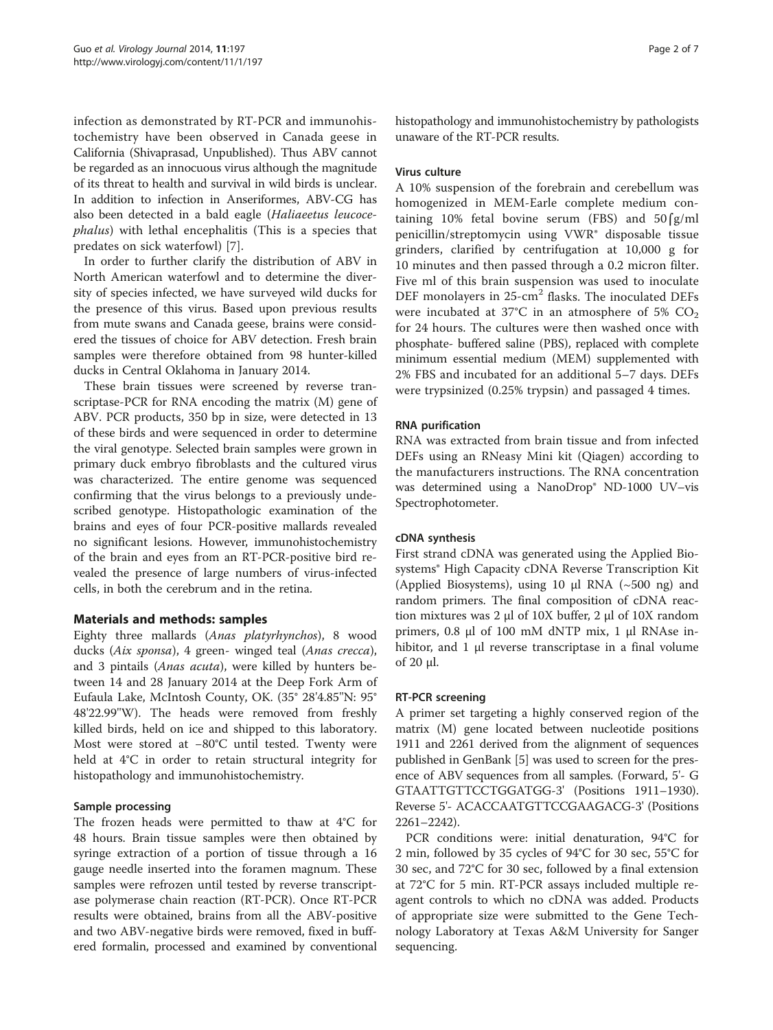infection as demonstrated by RT-PCR and immunohistochemistry have been observed in Canada geese in California (Shivaprasad, Unpublished). Thus ABV cannot be regarded as an innocuous virus although the magnitude of its threat to health and survival in wild birds is unclear. In addition to infection in Anseriformes, ABV-CG has also been detected in a bald eagle (Haliaeetus leucocephalus) with lethal encephalitis (This is a species that predates on sick waterfowl) [\[7](#page-6-0)].

In order to further clarify the distribution of ABV in North American waterfowl and to determine the diversity of species infected, we have surveyed wild ducks for the presence of this virus. Based upon previous results from mute swans and Canada geese, brains were considered the tissues of choice for ABV detection. Fresh brain samples were therefore obtained from 98 hunter-killed ducks in Central Oklahoma in January 2014.

These brain tissues were screened by reverse transcriptase-PCR for RNA encoding the matrix (M) gene of ABV. PCR products, 350 bp in size, were detected in 13 of these birds and were sequenced in order to determine the viral genotype. Selected brain samples were grown in primary duck embryo fibroblasts and the cultured virus was characterized. The entire genome was sequenced confirming that the virus belongs to a previously undescribed genotype. Histopathologic examination of the brains and eyes of four PCR-positive mallards revealed no significant lesions. However, immunohistochemistry of the brain and eyes from an RT-PCR-positive bird revealed the presence of large numbers of virus-infected cells, in both the cerebrum and in the retina.

## Materials and methods: samples

Eighty three mallards (Anas platyrhynchos), 8 wood ducks (Aix sponsa), 4 green- winged teal (Anas crecca), and 3 pintails (Anas acuta), were killed by hunters between 14 and 28 January 2014 at the Deep Fork Arm of Eufaula Lake, McIntosh County, OK. (35° 28'4.85''N: 95° 48'22.99''W). The heads were removed from freshly killed birds, held on ice and shipped to this laboratory. Most were stored at −80°C until tested. Twenty were held at 4°C in order to retain structural integrity for histopathology and immunohistochemistry.

## Sample processing

The frozen heads were permitted to thaw at 4°C for 48 hours. Brain tissue samples were then obtained by syringe extraction of a portion of tissue through a 16 gauge needle inserted into the foramen magnum. These samples were refrozen until tested by reverse transcriptase polymerase chain reaction (RT-PCR). Once RT-PCR results were obtained, brains from all the ABV-positive and two ABV-negative birds were removed, fixed in buffered formalin, processed and examined by conventional histopathology and immunohistochemistry by pathologists unaware of the RT-PCR results.

## Virus culture

A 10% suspension of the forebrain and cerebellum was homogenized in MEM-Earle complete medium containing 10% fetal bovine serum (FBS) and  $50/g/ml$ penicillin/streptomycin using VWR® disposable tissue grinders, clarified by centrifugation at 10,000 g for 10 minutes and then passed through a 0.2 micron filter. Five ml of this brain suspension was used to inoculate DEF monolayers in 25-cm<sup>2</sup> flasks. The inoculated DEFs were incubated at 37 $^{\circ}$ C in an atmosphere of 5% CO<sub>2</sub> for 24 hours. The cultures were then washed once with phosphate- buffered saline (PBS), replaced with complete minimum essential medium (MEM) supplemented with 2% FBS and incubated for an additional 5–7 days. DEFs were trypsinized (0.25% trypsin) and passaged 4 times.

## RNA purification

RNA was extracted from brain tissue and from infected DEFs using an RNeasy Mini kit (Qiagen) according to the manufacturers instructions. The RNA concentration was determined using a NanoDrop® ND-1000 UV–vis Spectrophotometer.

## cDNA synthesis

First strand cDNA was generated using the Applied Biosystems® High Capacity cDNA Reverse Transcription Kit (Applied Biosystems), using 10 μl RNA (~500 ng) and random primers. The final composition of cDNA reaction mixtures was 2 μl of 10X buffer, 2 μl of 10X random primers, 0.8 μl of 100 mM dNTP mix, 1 μl RNAse inhibitor, and 1 μl reverse transcriptase in a final volume of 20 μl.

## RT-PCR screening

A primer set targeting a highly conserved region of the matrix (M) gene located between nucleotide positions 1911 and 2261 derived from the alignment of sequences published in GenBank [[5\]](#page-6-0) was used to screen for the presence of ABV sequences from all samples. (Forward, 5'- G GTAATTGTTCCTGGATGG-3' (Positions 1911–1930). Reverse 5'- ACACCAATGTTCCGAAGACG-3' (Positions 2261–2242).

PCR conditions were: initial denaturation, 94°C for 2 min, followed by 35 cycles of 94°C for 30 sec, 55°C for 30 sec, and 72°C for 30 sec, followed by a final extension at 72°C for 5 min. RT-PCR assays included multiple reagent controls to which no cDNA was added. Products of appropriate size were submitted to the Gene Technology Laboratory at Texas A&M University for Sanger sequencing.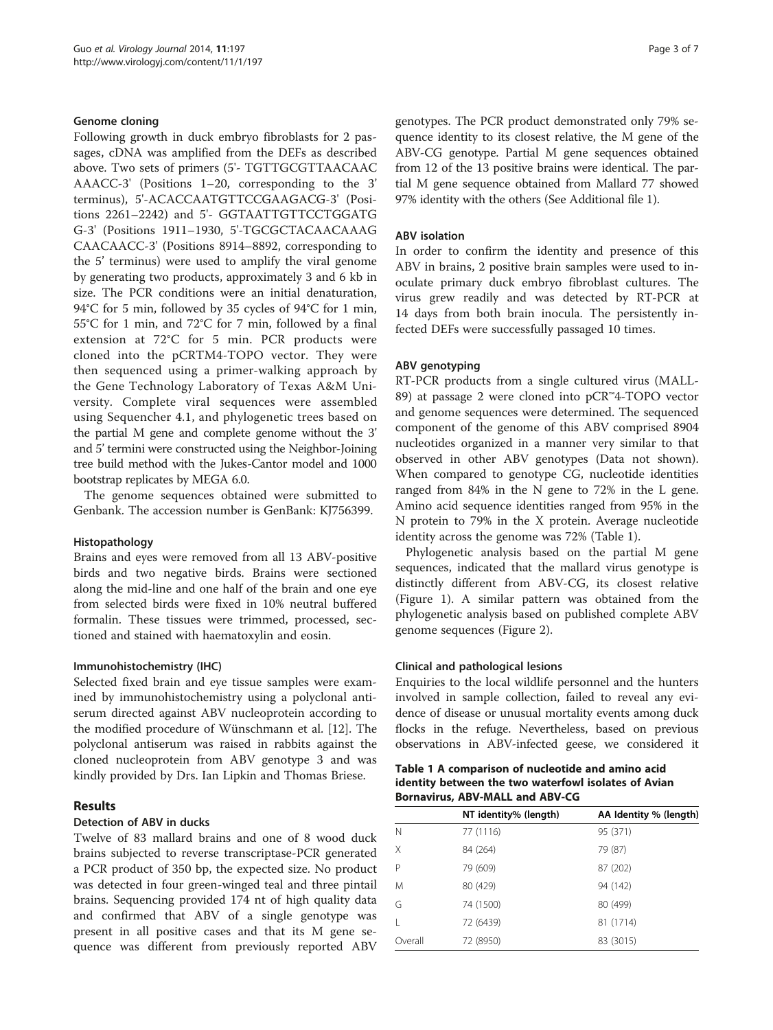#### Genome cloning

Following growth in duck embryo fibroblasts for 2 passages, cDNA was amplified from the DEFs as described above. Two sets of primers (5'- TGTTGCGTTAACAAC AAACC-3' (Positions 1–20, corresponding to the 3' terminus), 5'-ACACCAATGTTCCGAAGACG-3' (Positions 2261–2242) and 5'- GGTAATTGTTCCTGGATG G-3' (Positions 1911–1930, 5'-TGCGCTACAACAAAG CAACAACC-3' (Positions 8914–8892, corresponding to the 5' terminus) were used to amplify the viral genome by generating two products, approximately 3 and 6 kb in size. The PCR conditions were an initial denaturation, 94°C for 5 min, followed by 35 cycles of 94°C for 1 min, 55°C for 1 min, and 72°C for 7 min, followed by a final extension at 72°C for 5 min. PCR products were cloned into the pCRTM4-TOPO vector. They were then sequenced using a primer-walking approach by the Gene Technology Laboratory of Texas A&M University. Complete viral sequences were assembled using Sequencher 4.1, and phylogenetic trees based on the partial M gene and complete genome without the 3' and 5' termini were constructed using the Neighbor-Joining tree build method with the Jukes-Cantor model and 1000 bootstrap replicates by MEGA 6.0.

The genome sequences obtained were submitted to Genbank. The accession number is GenBank: KJ756399.

#### Histopathology

Brains and eyes were removed from all 13 ABV-positive birds and two negative birds. Brains were sectioned along the mid-line and one half of the brain and one eye from selected birds were fixed in 10% neutral buffered formalin. These tissues were trimmed, processed, sectioned and stained with haematoxylin and eosin.

## Immunohistochemistry (IHC)

Selected fixed brain and eye tissue samples were examined by immunohistochemistry using a polyclonal antiserum directed against ABV nucleoprotein according to the modified procedure of Wünschmann et al. [[12\]](#page-6-0). The polyclonal antiserum was raised in rabbits against the cloned nucleoprotein from ABV genotype 3 and was kindly provided by Drs. Ian Lipkin and Thomas Briese.

## Results

#### Detection of ABV in ducks

Twelve of 83 mallard brains and one of 8 wood duck brains subjected to reverse transcriptase-PCR generated a PCR product of 350 bp, the expected size. No product was detected in four green-winged teal and three pintail brains. Sequencing provided 174 nt of high quality data and confirmed that ABV of a single genotype was present in all positive cases and that its M gene sequence was different from previously reported ABV genotypes. The PCR product demonstrated only 79% sequence identity to its closest relative, the M gene of the ABV-CG genotype. Partial M gene sequences obtained from 12 of the 13 positive brains were identical. The partial M gene sequence obtained from Mallard 77 showed 97% identity with the others (See Additional file [1](#page-6-0)).

#### ABV isolation

In order to confirm the identity and presence of this ABV in brains, 2 positive brain samples were used to inoculate primary duck embryo fibroblast cultures. The virus grew readily and was detected by RT-PCR at 14 days from both brain inocula. The persistently infected DEFs were successfully passaged 10 times.

#### ABV genotyping

RT-PCR products from a single cultured virus (MALL-89) at passage 2 were cloned into pCR™4-TOPO vector and genome sequences were determined. The sequenced component of the genome of this ABV comprised 8904 nucleotides organized in a manner very similar to that observed in other ABV genotypes (Data not shown). When compared to genotype CG, nucleotide identities ranged from 84% in the N gene to 72% in the L gene. Amino acid sequence identities ranged from 95% in the N protein to 79% in the X protein. Average nucleotide identity across the genome was 72% (Table 1).

Phylogenetic analysis based on the partial M gene sequences, indicated that the mallard virus genotype is distinctly different from ABV-CG, its closest relative (Figure [1](#page-3-0)). A similar pattern was obtained from the phylogenetic analysis based on published complete ABV genome sequences (Figure [2\)](#page-4-0).

## Clinical and pathological lesions

Enquiries to the local wildlife personnel and the hunters involved in sample collection, failed to reveal any evidence of disease or unusual mortality events among duck flocks in the refuge. Nevertheless, based on previous observations in ABV-infected geese, we considered it

#### Table 1 A comparison of nucleotide and amino acid identity between the two waterfowl isolates of Avian Bornavirus, ABV-MALL and ABV-CG

|          | NT identity% (length) | AA Identity % (length) |
|----------|-----------------------|------------------------|
| N        | 77 (1116)             | 95 (371)               |
| $\times$ | 84 (264)              | 79 (87)                |
| Р        | 79 (609)              | 87 (202)               |
| M        | 80 (429)              | 94 (142)               |
| G        | 74 (1500)             | 80 (499)               |
|          | 72 (6439)             | 81 (1714)              |
| Overall  | 72 (8950)             | 83 (3015)              |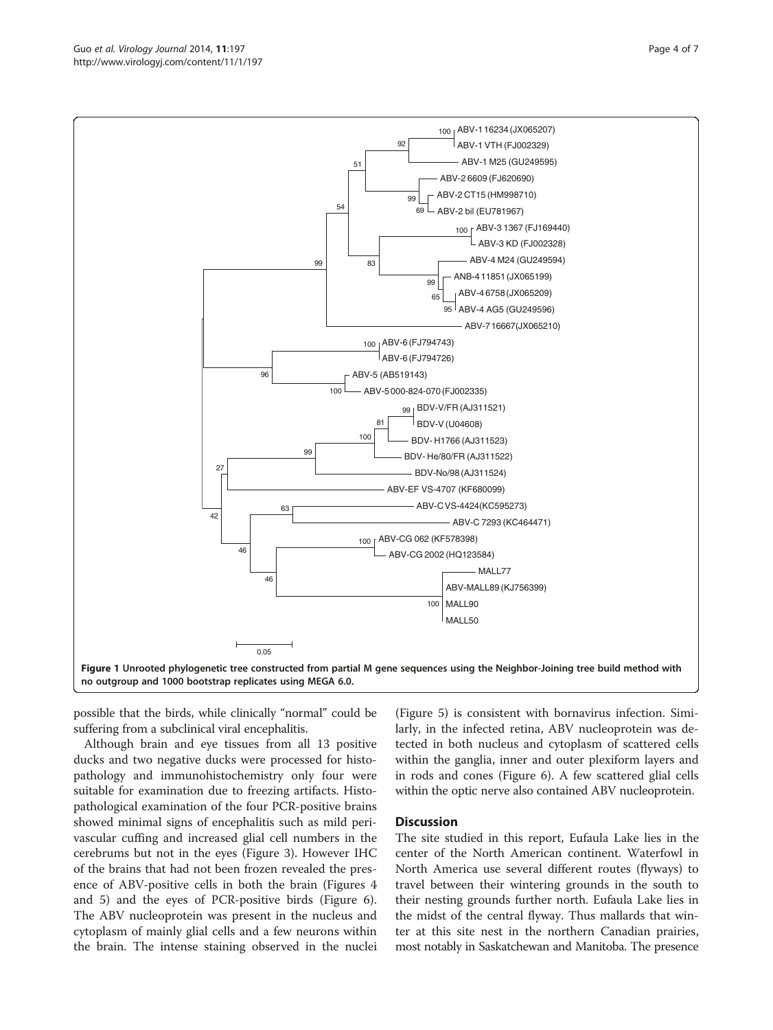possible that the birds, while clinically "normal" could be suffering from a subclinical viral encephalitis.

Although brain and eye tissues from all 13 positive ducks and two negative ducks were processed for histopathology and immunohistochemistry only four were suitable for examination due to freezing artifacts. Histopathological examination of the four PCR-positive brains showed minimal signs of encephalitis such as mild perivascular cuffing and increased glial cell numbers in the cerebrums but not in the eyes (Figure [3\)](#page-4-0). However IHC of the brains that had not been frozen revealed the presence of ABV-positive cells in both the brain (Figures [4](#page-4-0) and [5\)](#page-5-0) and the eyes of PCR-positive birds (Figure [6](#page-5-0)). The ABV nucleoprotein was present in the nucleus and cytoplasm of mainly glial cells and a few neurons within the brain. The intense staining observed in the nuclei

(Figure [5\)](#page-5-0) is consistent with bornavirus infection. Similarly, in the infected retina, ABV nucleoprotein was detected in both nucleus and cytoplasm of scattered cells within the ganglia, inner and outer plexiform layers and in rods and cones (Figure [6\)](#page-5-0). A few scattered glial cells within the optic nerve also contained ABV nucleoprotein.

#### **Discussion**

The site studied in this report, Eufaula Lake lies in the center of the North American continent. Waterfowl in North America use several different routes (flyways) to travel between their wintering grounds in the south to their nesting grounds further north. Eufaula Lake lies in the midst of the central flyway. Thus mallards that winter at this site nest in the northern Canadian prairies, most notably in Saskatchewan and Manitoba. The presence

<span id="page-3-0"></span>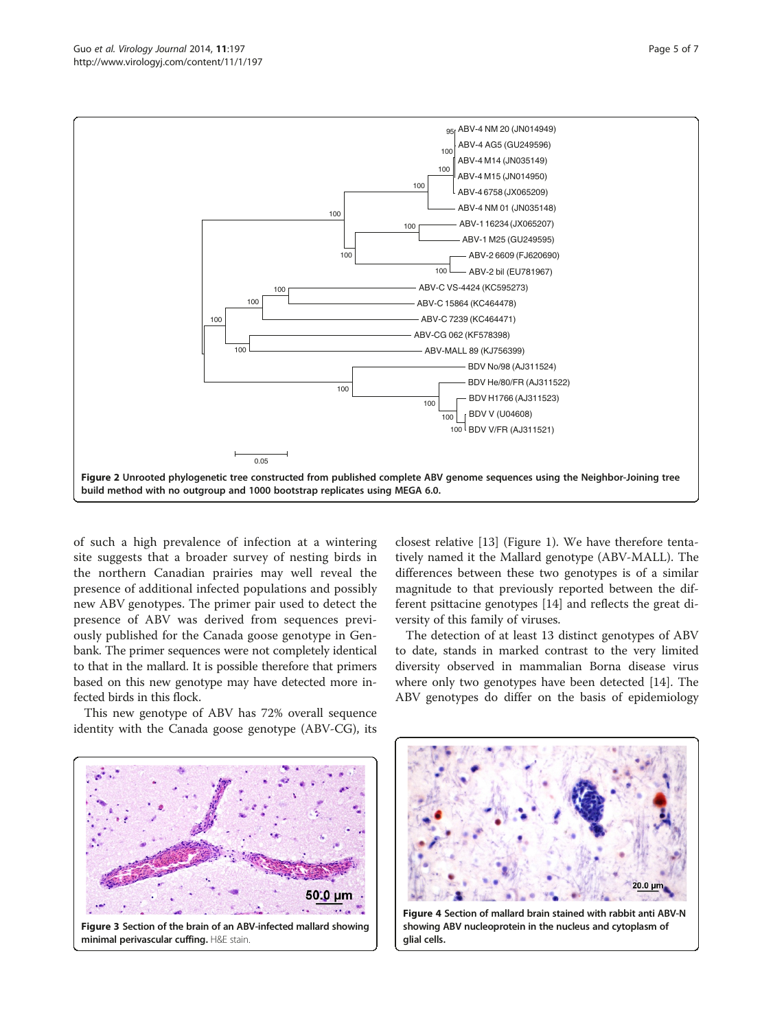<span id="page-4-0"></span>

of such a high prevalence of infection at a wintering site suggests that a broader survey of nesting birds in the northern Canadian prairies may well reveal the presence of additional infected populations and possibly new ABV genotypes. The primer pair used to detect the presence of ABV was derived from sequences previously published for the Canada goose genotype in Genbank. The primer sequences were not completely identical to that in the mallard. It is possible therefore that primers based on this new genotype may have detected more infected birds in this flock.

This new genotype of ABV has 72% overall sequence identity with the Canada goose genotype (ABV-CG), its

closest relative [[13](#page-6-0)] (Figure [1](#page-3-0)). We have therefore tentatively named it the Mallard genotype (ABV-MALL). The differences between these two genotypes is of a similar magnitude to that previously reported between the different psittacine genotypes [[14\]](#page-6-0) and reflects the great diversity of this family of viruses.

The detection of at least 13 distinct genotypes of ABV to date, stands in marked contrast to the very limited diversity observed in mammalian Borna disease virus where only two genotypes have been detected [[14](#page-6-0)]. The ABV genotypes do differ on the basis of epidemiology





showing ABV nucleoprotein in the nucleus and cytoplasm of glial cells.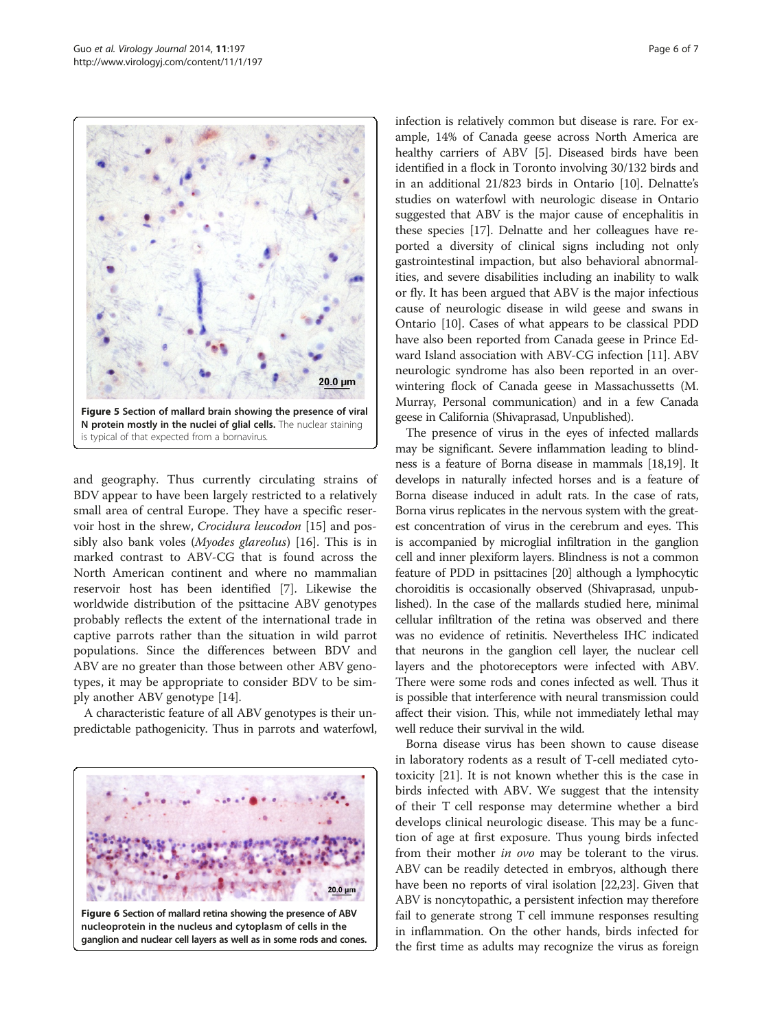<span id="page-5-0"></span>

and geography. Thus currently circulating strains of BDV appear to have been largely restricted to a relatively small area of central Europe. They have a specific reservoir host in the shrew, Crocidura leucodon [[15](#page-6-0)] and possibly also bank voles (*Myodes glareolus*) [\[16\]](#page-6-0). This is in marked contrast to ABV-CG that is found across the North American continent and where no mammalian reservoir host has been identified [[7\]](#page-6-0). Likewise the worldwide distribution of the psittacine ABV genotypes probably reflects the extent of the international trade in captive parrots rather than the situation in wild parrot populations. Since the differences between BDV and ABV are no greater than those between other ABV genotypes, it may be appropriate to consider BDV to be simply another ABV genotype [\[14\]](#page-6-0).

A characteristic feature of all ABV genotypes is their unpredictable pathogenicity. Thus in parrots and waterfowl,



infection is relatively common but disease is rare. For example, 14% of Canada geese across North America are healthy carriers of ABV [\[5\]](#page-6-0). Diseased birds have been identified in a flock in Toronto involving 30/132 birds and in an additional 21/823 birds in Ontario [[10](#page-6-0)]. Delnatte's studies on waterfowl with neurologic disease in Ontario suggested that ABV is the major cause of encephalitis in these species [\[17\]](#page-6-0). Delnatte and her colleagues have reported a diversity of clinical signs including not only gastrointestinal impaction, but also behavioral abnormalities, and severe disabilities including an inability to walk or fly. It has been argued that ABV is the major infectious cause of neurologic disease in wild geese and swans in Ontario [\[10\]](#page-6-0). Cases of what appears to be classical PDD have also been reported from Canada geese in Prince Edward Island association with ABV-CG infection [[11](#page-6-0)]. ABV neurologic syndrome has also been reported in an overwintering flock of Canada geese in Massachussetts (M. Murray, Personal communication) and in a few Canada geese in California (Shivaprasad, Unpublished).

The presence of virus in the eyes of infected mallards may be significant. Severe inflammation leading to blindness is a feature of Borna disease in mammals [\[18,19](#page-6-0)]. It develops in naturally infected horses and is a feature of Borna disease induced in adult rats. In the case of rats, Borna virus replicates in the nervous system with the greatest concentration of virus in the cerebrum and eyes. This is accompanied by microglial infiltration in the ganglion cell and inner plexiform layers. Blindness is not a common feature of PDD in psittacines [\[20\]](#page-6-0) although a lymphocytic choroiditis is occasionally observed (Shivaprasad, unpublished). In the case of the mallards studied here, minimal cellular infiltration of the retina was observed and there was no evidence of retinitis. Nevertheless IHC indicated that neurons in the ganglion cell layer, the nuclear cell layers and the photoreceptors were infected with ABV. There were some rods and cones infected as well. Thus it is possible that interference with neural transmission could affect their vision. This, while not immediately lethal may well reduce their survival in the wild.

Borna disease virus has been shown to cause disease in laboratory rodents as a result of T-cell mediated cytotoxicity [[21](#page-6-0)]. It is not known whether this is the case in birds infected with ABV. We suggest that the intensity of their T cell response may determine whether a bird develops clinical neurologic disease. This may be a function of age at first exposure. Thus young birds infected from their mother in ovo may be tolerant to the virus. ABV can be readily detected in embryos, although there have been no reports of viral isolation [\[22,23](#page-6-0)]. Given that ABV is noncytopathic, a persistent infection may therefore fail to generate strong T cell immune responses resulting in inflammation. On the other hands, birds infected for the first time as adults may recognize the virus as foreign